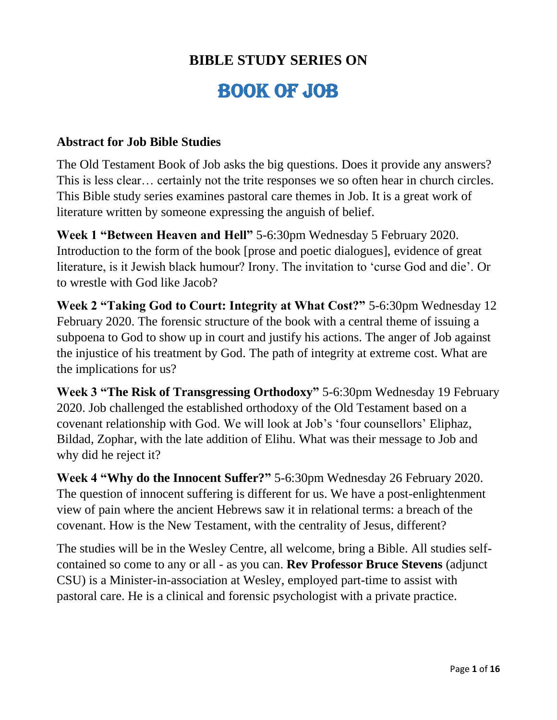# **BIBLE STUDY SERIES ON**

# BOOK OF JOB

#### **Abstract for Job Bible Studies**

The Old Testament Book of Job asks the big questions. Does it provide any answers? This is less clear… certainly not the trite responses we so often hear in church circles. This Bible study series examines pastoral care themes in Job. It is a great work of literature written by someone expressing the anguish of belief.

**Week 1 "Between Heaven and Hell"** 5-6:30pm Wednesday 5 February 2020. Introduction to the form of the book [prose and poetic dialogues], evidence of great literature, is it Jewish black humour? Irony. The invitation to 'curse God and die'. Or to wrestle with God like Jacob?

**Week 2 "Taking God to Court: Integrity at What Cost?"** 5-6:30pm Wednesday 12 February 2020. The forensic structure of the book with a central theme of issuing a subpoena to God to show up in court and justify his actions. The anger of Job against the injustice of his treatment by God. The path of integrity at extreme cost. What are the implications for us?

**Week 3 "The Risk of Transgressing Orthodoxy"** 5-6:30pm Wednesday 19 February 2020. Job challenged the established orthodoxy of the Old Testament based on a covenant relationship with God. We will look at Job's 'four counsellors' Eliphaz, Bildad, Zophar, with the late addition of Elihu. What was their message to Job and why did he reject it?

**Week 4 "Why do the Innocent Suffer?"** 5-6:30pm Wednesday 26 February 2020. The question of innocent suffering is different for us. We have a post-enlightenment view of pain where the ancient Hebrews saw it in relational terms: a breach of the covenant. How is the New Testament, with the centrality of Jesus, different?

The studies will be in the Wesley Centre, all welcome, bring a Bible. All studies selfcontained so come to any or all - as you can. **Rev Professor Bruce Stevens** (adjunct CSU) is a Minister-in-association at Wesley, employed part-time to assist with pastoral care. He is a clinical and forensic psychologist with a private practice.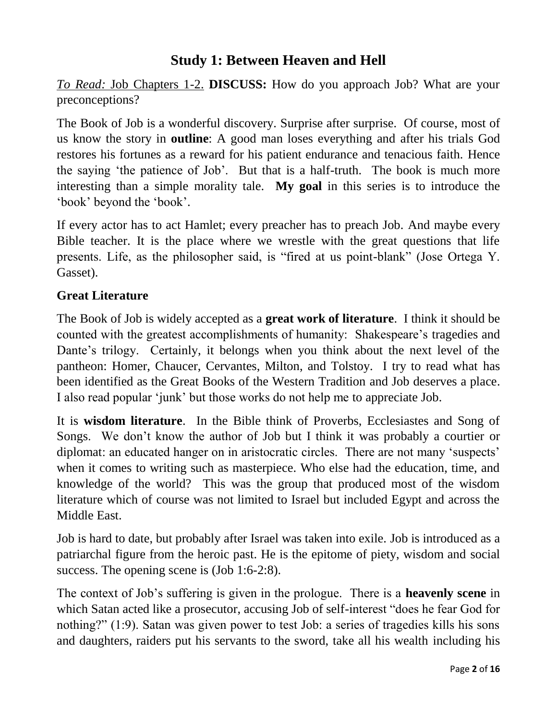## **Study 1: Between Heaven and Hell**

*To Read:* Job Chapters 1-2. **DISCUSS:** How do you approach Job? What are your preconceptions?

The Book of Job is a wonderful discovery. Surprise after surprise. Of course, most of us know the story in **outline**: A good man loses everything and after his trials God restores his fortunes as a reward for his patient endurance and tenacious faith. Hence the saying 'the patience of Job'. But that is a half-truth. The book is much more interesting than a simple morality tale. **My goal** in this series is to introduce the 'book' beyond the 'book'.

If every actor has to act Hamlet; every preacher has to preach Job. And maybe every Bible teacher. It is the place where we wrestle with the great questions that life presents. Life, as the philosopher said, is "fired at us point-blank" (Jose Ortega Y. Gasset).

#### **Great Literature**

The Book of Job is widely accepted as a **great work of literature**. I think it should be counted with the greatest accomplishments of humanity: Shakespeare's tragedies and Dante's trilogy. Certainly, it belongs when you think about the next level of the pantheon: Homer, Chaucer, Cervantes, Milton, and Tolstoy. I try to read what has been identified as the Great Books of the Western Tradition and Job deserves a place. I also read popular 'junk' but those works do not help me to appreciate Job.

It is **wisdom literature**. In the Bible think of Proverbs, Ecclesiastes and Song of Songs. We don't know the author of Job but I think it was probably a courtier or diplomat: an educated hanger on in aristocratic circles. There are not many 'suspects' when it comes to writing such as masterpiece. Who else had the education, time, and knowledge of the world? This was the group that produced most of the wisdom literature which of course was not limited to Israel but included Egypt and across the Middle East.

Job is hard to date, but probably after Israel was taken into exile. Job is introduced as a patriarchal figure from the heroic past. He is the epitome of piety, wisdom and social success. The opening scene is (Job 1:6-2:8).

The context of Job's suffering is given in the prologue. There is a **heavenly scene** in which Satan acted like a prosecutor, accusing Job of self-interest "does he fear God for nothing?" (1:9). Satan was given power to test Job: a series of tragedies kills his sons and daughters, raiders put his servants to the sword, take all his wealth including his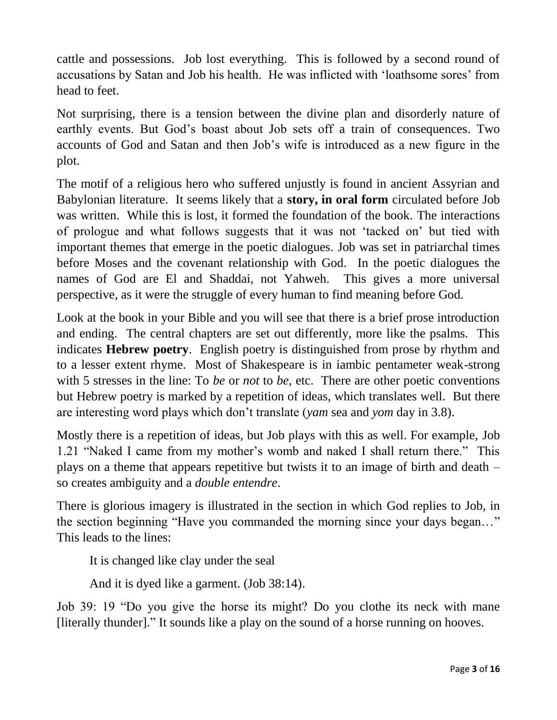cattle and possessions. Job lost everything. This is followed by a second round of accusations by Satan and Job his health. He was inflicted with 'loathsome sores' from head to feet.

Not surprising, there is a tension between the divine plan and disorderly nature of earthly events. But God's boast about Job sets off a train of consequences. Two accounts of God and Satan and then Job's wife is introduced as a new figure in the plot.

The motif of a religious hero who suffered unjustly is found in ancient Assyrian and Babylonian literature. It seems likely that a **story, in oral form** circulated before Job was written. While this is lost, it formed the foundation of the book. The interactions of prologue and what follows suggests that it was not 'tacked on' but tied with important themes that emerge in the poetic dialogues. Job was set in patriarchal times before Moses and the covenant relationship with God. In the poetic dialogues the names of God are El and Shaddai, not Yahweh. This gives a more universal perspective, as it were the struggle of every human to find meaning before God.

Look at the book in your Bible and you will see that there is a brief prose introduction and ending. The central chapters are set out differently, more like the psalms. This indicates **Hebrew poetry**. English poetry is distinguished from prose by rhythm and to a lesser extent rhyme. Most of Shakespeare is in iambic pentameter weak-strong with 5 stresses in the line: To *be* or *not* to *be*, etc. There are other poetic conventions but Hebrew poetry is marked by a repetition of ideas, which translates well. But there are interesting word plays which don't translate (*yam* sea and *yom* day in 3.8).

Mostly there is a repetition of ideas, but Job plays with this as well. For example, Job 1.21 "Naked I came from my mother's womb and naked I shall return there." This plays on a theme that appears repetitive but twists it to an image of birth and death – so creates ambiguity and a *double entendre*.

There is glorious imagery is illustrated in the section in which God replies to Job, in the section beginning "Have you commanded the morning since your days began…" This leads to the lines:

It is changed like clay under the seal

And it is dyed like a garment. (Job 38:14).

Job 39: 19 "Do you give the horse its might? Do you clothe its neck with mane [literally thunder]." It sounds like a play on the sound of a horse running on hooves.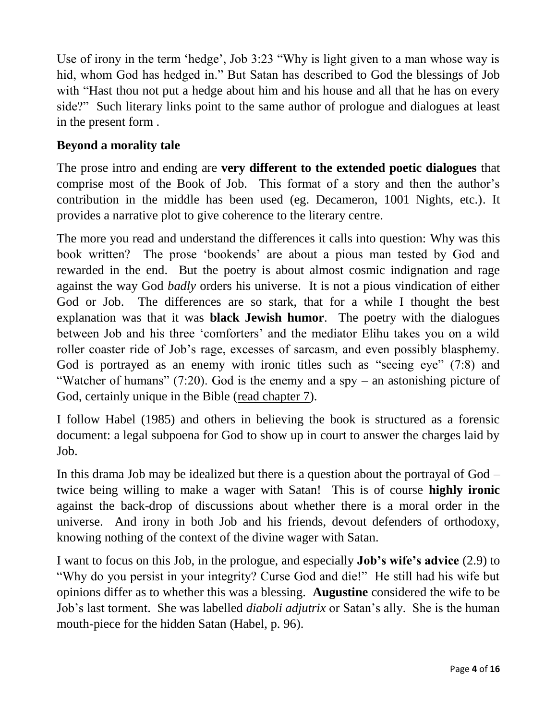Use of irony in the term 'hedge', Job 3:23 "Why is light given to a man whose way is hid, whom God has hedged in." But Satan has described to God the blessings of Job with "Hast thou not put a hedge about him and his house and all that he has on every side?" Such literary links point to the same author of prologue and dialogues at least in the present form .

#### **Beyond a morality tale**

The prose intro and ending are **very different to the extended poetic dialogues** that comprise most of the Book of Job. This format of a story and then the author's contribution in the middle has been used (eg. Decameron, 1001 Nights, etc.). It provides a narrative plot to give coherence to the literary centre.

The more you read and understand the differences it calls into question: Why was this book written? The prose 'bookends' are about a pious man tested by God and rewarded in the end. But the poetry is about almost cosmic indignation and rage against the way God *badly* orders his universe. It is not a pious vindication of either God or Job. The differences are so stark, that for a while I thought the best explanation was that it was **black Jewish humor**. The poetry with the dialogues between Job and his three 'comforters' and the mediator Elihu takes you on a wild roller coaster ride of Job's rage, excesses of sarcasm, and even possibly blasphemy. God is portrayed as an enemy with ironic titles such as "seeing eye" (7:8) and "Watcher of humans" (7:20). God is the enemy and a spy – an astonishing picture of God, certainly unique in the Bible (read chapter 7).

I follow Habel (1985) and others in believing the book is structured as a forensic document: a legal subpoena for God to show up in court to answer the charges laid by Job.

In this drama Job may be idealized but there is a question about the portrayal of God – twice being willing to make a wager with Satan! This is of course **highly ironic** against the back-drop of discussions about whether there is a moral order in the universe. And irony in both Job and his friends, devout defenders of orthodoxy, knowing nothing of the context of the divine wager with Satan.

I want to focus on this Job, in the prologue, and especially **Job's wife's advice** (2.9) to "Why do you persist in your integrity? Curse God and die!" He still had his wife but opinions differ as to whether this was a blessing. **Augustine** considered the wife to be Job's last torment. She was labelled *diaboli adjutrix* or Satan's ally. She is the human mouth-piece for the hidden Satan (Habel, p. 96).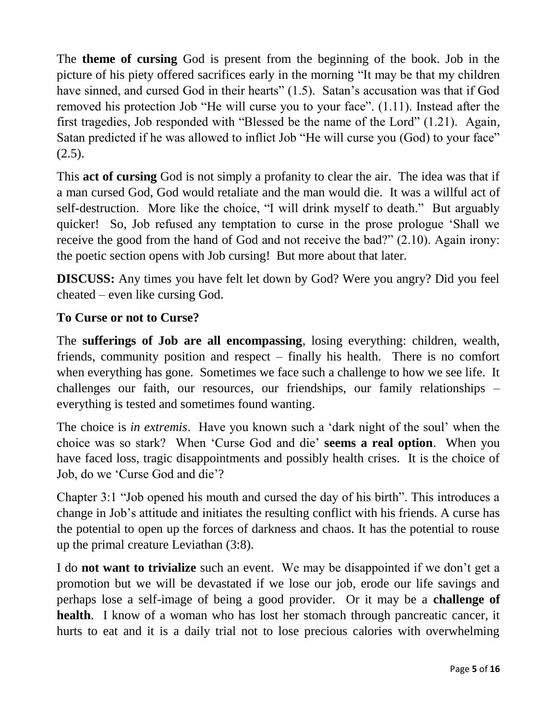The **theme of cursing** God is present from the beginning of the book. Job in the picture of his piety offered sacrifices early in the morning "It may be that my children have sinned, and cursed God in their hearts" (1.5). Satan's accusation was that if God removed his protection Job "He will curse you to your face". (1.11). Instead after the first tragedies, Job responded with "Blessed be the name of the Lord" (1.21). Again, Satan predicted if he was allowed to inflict Job "He will curse you (God) to your face"  $(2.5).$ 

This **act of cursing** God is not simply a profanity to clear the air. The idea was that if a man cursed God, God would retaliate and the man would die. It was a willful act of self-destruction. More like the choice, "I will drink myself to death." But arguably quicker! So, Job refused any temptation to curse in the prose prologue 'Shall we receive the good from the hand of God and not receive the bad?" (2.10). Again irony: the poetic section opens with Job cursing! But more about that later.

**DISCUSS:** Any times you have felt let down by God? Were you angry? Did you feel cheated – even like cursing God.

#### **To Curse or not to Curse?**

The **sufferings of Job are all encompassing**, losing everything: children, wealth, friends, community position and respect – finally his health. There is no comfort when everything has gone. Sometimes we face such a challenge to how we see life. It challenges our faith, our resources, our friendships, our family relationships – everything is tested and sometimes found wanting.

The choice is *in extremis*. Have you known such a 'dark night of the soul' when the choice was so stark? When 'Curse God and die' **seems a real option**. When you have faced loss, tragic disappointments and possibly health crises. It is the choice of Job, do we 'Curse God and die'?

Chapter 3:1 "Job opened his mouth and cursed the day of his birth". This introduces a change in Job's attitude and initiates the resulting conflict with his friends. A curse has the potential to open up the forces of darkness and chaos. It has the potential to rouse up the primal creature Leviathan (3:8).

I do **not want to trivialize** such an event. We may be disappointed if we don't get a promotion but we will be devastated if we lose our job, erode our life savings and perhaps lose a self-image of being a good provider. Or it may be a **challenge of health**. I know of a woman who has lost her stomach through pancreatic cancer, it hurts to eat and it is a daily trial not to lose precious calories with overwhelming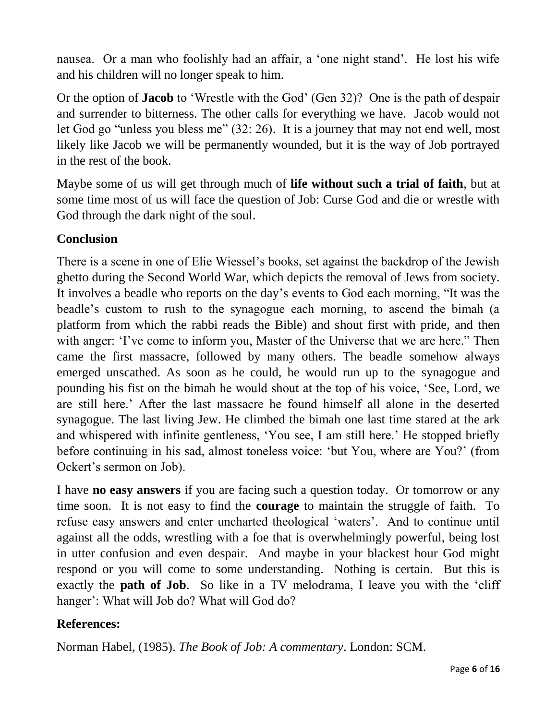nausea. Or a man who foolishly had an affair, a 'one night stand'. He lost his wife and his children will no longer speak to him.

Or the option of **Jacob** to 'Wrestle with the God' (Gen 32)? One is the path of despair and surrender to bitterness. The other calls for everything we have. Jacob would not let God go "unless you bless me" (32: 26). It is a journey that may not end well, most likely like Jacob we will be permanently wounded, but it is the way of Job portrayed in the rest of the book.

Maybe some of us will get through much of **life without such a trial of faith**, but at some time most of us will face the question of Job: Curse God and die or wrestle with God through the dark night of the soul.

#### **Conclusion**

There is a scene in one of Elie Wiessel's books, set against the backdrop of the Jewish ghetto during the Second World War, which depicts the removal of Jews from society. It involves a beadle who reports on the day's events to God each morning, "It was the beadle's custom to rush to the synagogue each morning, to ascend the bimah (a platform from which the rabbi reads the Bible) and shout first with pride, and then with anger: 'I've come to inform you, Master of the Universe that we are here.'' Then came the first massacre, followed by many others. The beadle somehow always emerged unscathed. As soon as he could, he would run up to the synagogue and pounding his fist on the bimah he would shout at the top of his voice, 'See, Lord, we are still here.' After the last massacre he found himself all alone in the deserted synagogue. The last living Jew. He climbed the bimah one last time stared at the ark and whispered with infinite gentleness, 'You see, I am still here.' He stopped briefly before continuing in his sad, almost toneless voice: 'but You, where are You?' (from Ockert's sermon on Job).

I have **no easy answers** if you are facing such a question today. Or tomorrow or any time soon. It is not easy to find the **courage** to maintain the struggle of faith. To refuse easy answers and enter uncharted theological 'waters'. And to continue until against all the odds, wrestling with a foe that is overwhelmingly powerful, being lost in utter confusion and even despair. And maybe in your blackest hour God might respond or you will come to some understanding. Nothing is certain. But this is exactly the **path of Job**. So like in a TV melodrama, I leave you with the 'cliff hanger': What will Job do? What will God do?

#### **References:**

Norman Habel, (1985). *The Book of Job: A commentary*. London: SCM.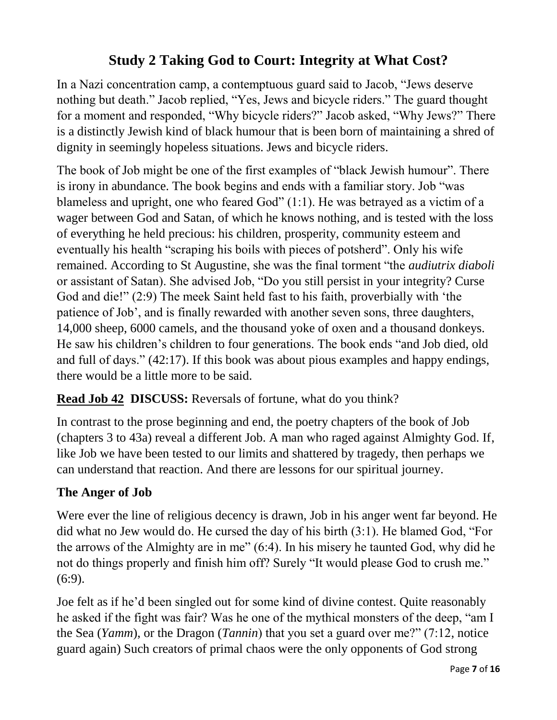# **Study 2 Taking God to Court: Integrity at What Cost?**

In a Nazi concentration camp, a contemptuous guard said to Jacob, "Jews deserve nothing but death." Jacob replied, "Yes, Jews and bicycle riders." The guard thought for a moment and responded, "Why bicycle riders?" Jacob asked, "Why Jews?" There is a distinctly Jewish kind of black humour that is been born of maintaining a shred of dignity in seemingly hopeless situations. Jews and bicycle riders.

The book of Job might be one of the first examples of "black Jewish humour". There is irony in abundance. The book begins and ends with a familiar story. Job "was blameless and upright, one who feared God" (1:1). He was betrayed as a victim of a wager between God and Satan, of which he knows nothing, and is tested with the loss of everything he held precious: his children, prosperity, community esteem and eventually his health "scraping his boils with pieces of potsherd". Only his wife remained. According to St Augustine, she was the final torment "the *audiutrix diaboli* or assistant of Satan). She advised Job, "Do you still persist in your integrity? Curse God and die!" (2:9) The meek Saint held fast to his faith, proverbially with 'the patience of Job', and is finally rewarded with another seven sons, three daughters, 14,000 sheep, 6000 camels, and the thousand yoke of oxen and a thousand donkeys. He saw his children's children to four generations. The book ends "and Job died, old and full of days." (42:17). If this book was about pious examples and happy endings, there would be a little more to be said.

## **Read Job 42 DISCUSS:** Reversals of fortune, what do you think?

In contrast to the prose beginning and end, the poetry chapters of the book of Job (chapters 3 to 43a) reveal a different Job. A man who raged against Almighty God. If, like Job we have been tested to our limits and shattered by tragedy, then perhaps we can understand that reaction. And there are lessons for our spiritual journey.

## **The Anger of Job**

Were ever the line of religious decency is drawn, Job in his anger went far beyond. He did what no Jew would do. He cursed the day of his birth (3:1). He blamed God, "For the arrows of the Almighty are in me" (6:4). In his misery he taunted God, why did he not do things properly and finish him off? Surely "It would please God to crush me." (6:9).

Joe felt as if he'd been singled out for some kind of divine contest. Quite reasonably he asked if the fight was fair? Was he one of the mythical monsters of the deep, "am I the Sea (*Yamm*), or the Dragon (*Tannin*) that you set a guard over me?" (7:12, notice guard again) Such creators of primal chaos were the only opponents of God strong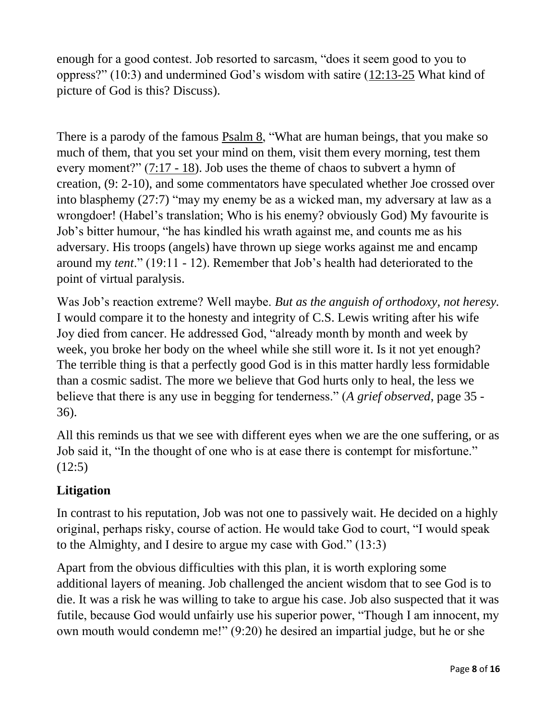enough for a good contest. Job resorted to sarcasm, "does it seem good to you to oppress?" (10:3) and undermined God's wisdom with satire (12:13-25 What kind of picture of God is this? Discuss).

There is a parody of the famous Psalm 8, "What are human beings, that you make so much of them, that you set your mind on them, visit them every morning, test them every moment?" (7:17 - 18). Job uses the theme of chaos to subvert a hymn of creation, (9: 2-10), and some commentators have speculated whether Joe crossed over into blasphemy (27:7) "may my enemy be as a wicked man, my adversary at law as a wrongdoer! (Habel's translation; Who is his enemy? obviously God) My favourite is Job's bitter humour, "he has kindled his wrath against me, and counts me as his adversary. His troops (angels) have thrown up siege works against me and encamp around my *tent*." (19:11 - 12). Remember that Job's health had deteriorated to the point of virtual paralysis.

Was Job's reaction extreme? Well maybe. *But as the anguish of orthodoxy, not heresy.* I would compare it to the honesty and integrity of C.S. Lewis writing after his wife Joy died from cancer. He addressed God, "already month by month and week by week, you broke her body on the wheel while she still wore it. Is it not yet enough? The terrible thing is that a perfectly good God is in this matter hardly less formidable than a cosmic sadist. The more we believe that God hurts only to heal, the less we believe that there is any use in begging for tenderness." (*A grief observed*, page 35 - 36).

All this reminds us that we see with different eyes when we are the one suffering, or as Job said it, "In the thought of one who is at ease there is contempt for misfortune."  $(12:5)$ 

## **Litigation**

In contrast to his reputation, Job was not one to passively wait. He decided on a highly original, perhaps risky, course of action. He would take God to court, "I would speak to the Almighty, and I desire to argue my case with God." (13:3)

Apart from the obvious difficulties with this plan, it is worth exploring some additional layers of meaning. Job challenged the ancient wisdom that to see God is to die. It was a risk he was willing to take to argue his case. Job also suspected that it was futile, because God would unfairly use his superior power, "Though I am innocent, my own mouth would condemn me!" (9:20) he desired an impartial judge, but he or she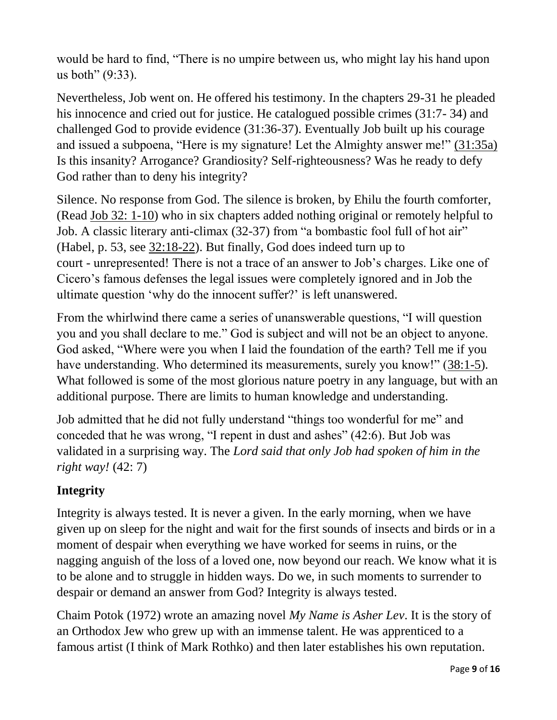would be hard to find, "There is no umpire between us, who might lay his hand upon us both" (9:33).

Nevertheless, Job went on. He offered his testimony. In the chapters 29-31 he pleaded his innocence and cried out for justice. He catalogued possible crimes (31:7- 34) and challenged God to provide evidence (31:36-37). Eventually Job built up his courage and issued a subpoena, "Here is my signature! Let the Almighty answer me!" (31:35a) Is this insanity? Arrogance? Grandiosity? Self-righteousness? Was he ready to defy God rather than to deny his integrity?

Silence. No response from God. The silence is broken, by Ehilu the fourth comforter, (Read Job 32: 1-10) who in six chapters added nothing original or remotely helpful to Job. A classic literary anti-climax (32-37) from "a bombastic fool full of hot air" (Habel, p. 53, see 32:18-22). But finally, God does indeed turn up to court - unrepresented! There is not a trace of an answer to Job's charges. Like one of Cicero's famous defenses the legal issues were completely ignored and in Job the ultimate question 'why do the innocent suffer?' is left unanswered.

From the whirlwind there came a series of unanswerable questions, "I will question you and you shall declare to me." God is subject and will not be an object to anyone. God asked, "Where were you when I laid the foundation of the earth? Tell me if you have understanding. Who determined its measurements, surely you know!" (38:1-5). What followed is some of the most glorious nature poetry in any language, but with an additional purpose. There are limits to human knowledge and understanding.

Job admitted that he did not fully understand "things too wonderful for me" and conceded that he was wrong, "I repent in dust and ashes" (42:6). But Job was validated in a surprising way. The *Lord said that only Job had spoken of him in the right way!* (42: 7)

## **Integrity**

Integrity is always tested. It is never a given. In the early morning, when we have given up on sleep for the night and wait for the first sounds of insects and birds or in a moment of despair when everything we have worked for seems in ruins, or the nagging anguish of the loss of a loved one, now beyond our reach. We know what it is to be alone and to struggle in hidden ways. Do we, in such moments to surrender to despair or demand an answer from God? Integrity is always tested.

Chaim Potok (1972) wrote an amazing novel *My Name is Asher Lev*. It is the story of an Orthodox Jew who grew up with an immense talent. He was apprenticed to a famous artist (I think of Mark Rothko) and then later establishes his own reputation.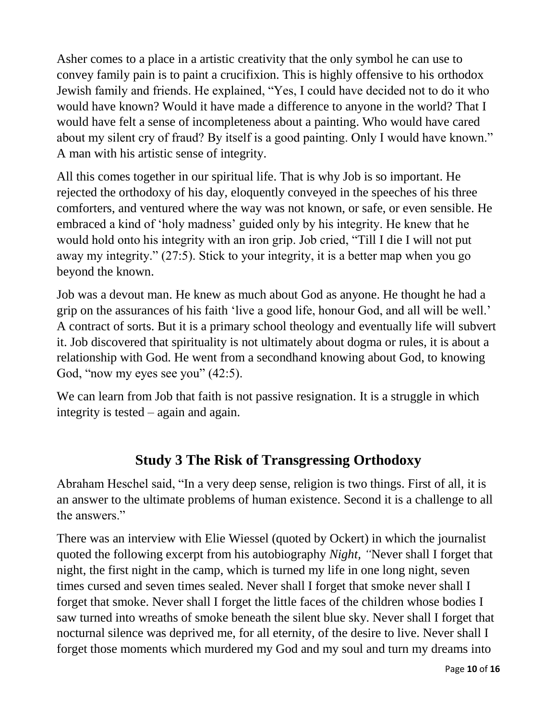Asher comes to a place in a artistic creativity that the only symbol he can use to convey family pain is to paint a crucifixion. This is highly offensive to his orthodox Jewish family and friends. He explained, "Yes, I could have decided not to do it who would have known? Would it have made a difference to anyone in the world? That I would have felt a sense of incompleteness about a painting. Who would have cared about my silent cry of fraud? By itself is a good painting. Only I would have known." A man with his artistic sense of integrity.

All this comes together in our spiritual life. That is why Job is so important. He rejected the orthodoxy of his day, eloquently conveyed in the speeches of his three comforters, and ventured where the way was not known, or safe, or even sensible. He embraced a kind of 'holy madness' guided only by his integrity. He knew that he would hold onto his integrity with an iron grip. Job cried, "Till I die I will not put away my integrity." (27:5). Stick to your integrity, it is a better map when you go beyond the known.

Job was a devout man. He knew as much about God as anyone. He thought he had a grip on the assurances of his faith 'live a good life, honour God, and all will be well.' A contract of sorts. But it is a primary school theology and eventually life will subvert it. Job discovered that spirituality is not ultimately about dogma or rules, it is about a relationship with God. He went from a secondhand knowing about God, to knowing God, "now my eyes see you"  $(42.5)$ .

We can learn from Job that faith is not passive resignation. It is a struggle in which integrity is tested – again and again.

# **Study 3 The Risk of Transgressing Orthodoxy**

Abraham Heschel said, "In a very deep sense, religion is two things. First of all, it is an answer to the ultimate problems of human existence. Second it is a challenge to all the answers."

There was an interview with Elie Wiessel (quoted by Ockert) in which the journalist quoted the following excerpt from his autobiography *Night, "*Never shall I forget that night, the first night in the camp, which is turned my life in one long night, seven times cursed and seven times sealed. Never shall I forget that smoke never shall I forget that smoke. Never shall I forget the little faces of the children whose bodies I saw turned into wreaths of smoke beneath the silent blue sky. Never shall I forget that nocturnal silence was deprived me, for all eternity, of the desire to live. Never shall I forget those moments which murdered my God and my soul and turn my dreams into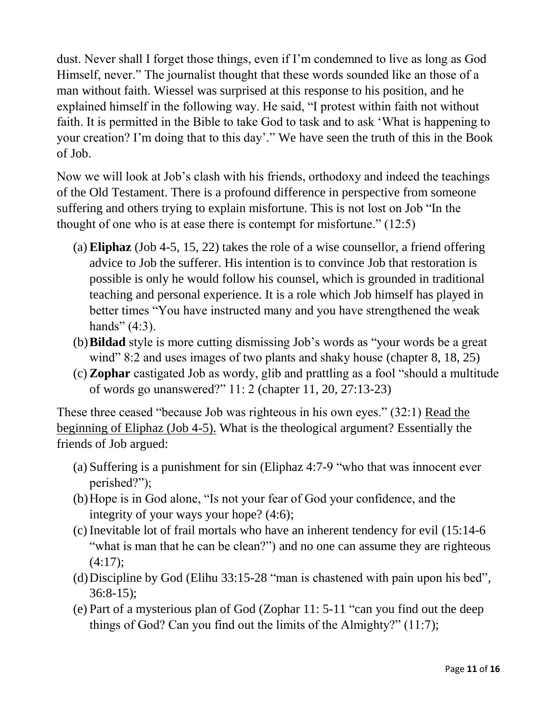dust. Never shall I forget those things, even if I'm condemned to live as long as God Himself, never." The journalist thought that these words sounded like an those of a man without faith. Wiessel was surprised at this response to his position, and he explained himself in the following way. He said, "I protest within faith not without faith. It is permitted in the Bible to take God to task and to ask 'What is happening to your creation? I'm doing that to this day'." We have seen the truth of this in the Book of Job.

Now we will look at Job's clash with his friends, orthodoxy and indeed the teachings of the Old Testament. There is a profound difference in perspective from someone suffering and others trying to explain misfortune. This is not lost on Job "In the thought of one who is at ease there is contempt for misfortune." (12:5)

- (a) **Eliphaz** (Job 4-5, 15, 22) takes the role of a wise counsellor, a friend offering advice to Job the sufferer. His intention is to convince Job that restoration is possible is only he would follow his counsel, which is grounded in traditional teaching and personal experience. It is a role which Job himself has played in better times "You have instructed many and you have strengthened the weak hands"  $(4:3)$ .
- (b)**Bildad** style is more cutting dismissing Job's words as "your words be a great wind" 8:2 and uses images of two plants and shaky house (chapter 8, 18, 25)
- (c) **Zophar** castigated Job as wordy, glib and prattling as a fool "should a multitude of words go unanswered?" 11: 2 (chapter 11, 20, 27:13-23)

These three ceased "because Job was righteous in his own eyes." (32:1) Read the beginning of Eliphaz (Job 4-5). What is the theological argument? Essentially the friends of Job argued:

- (a) Suffering is a punishment for sin (Eliphaz 4:7-9 "who that was innocent ever perished?");
- (b)Hope is in God alone, "Is not your fear of God your confidence, and the integrity of your ways your hope? (4:6);
- (c) Inevitable lot of frail mortals who have an inherent tendency for evil (15:14-6 "what is man that he can be clean?") and no one can assume they are righteous  $(4:17);$
- (d)Discipline by God (Elihu 33:15-28 "man is chastened with pain upon his bed", 36:8-15);
- (e) Part of a mysterious plan of God (Zophar 11: 5-11 "can you find out the deep things of God? Can you find out the limits of the Almighty?" (11:7);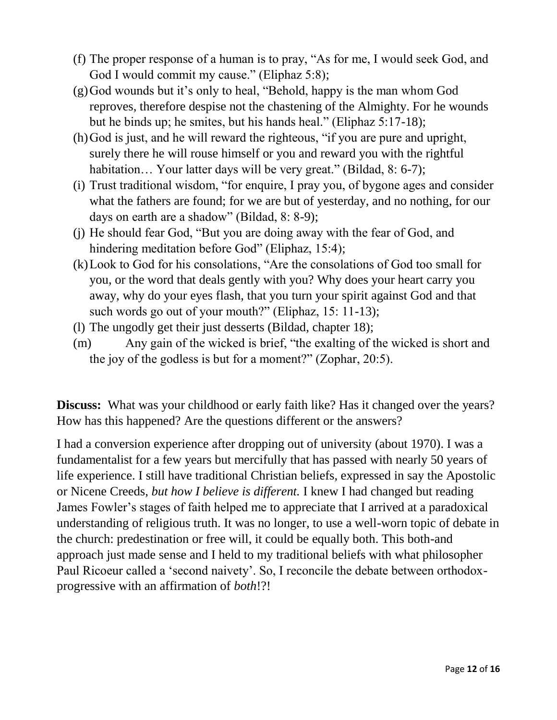- (f) The proper response of a human is to pray, "As for me, I would seek God, and God I would commit my cause." (Eliphaz 5:8);
- (g)God wounds but it's only to heal, "Behold, happy is the man whom God reproves, therefore despise not the chastening of the Almighty. For he wounds but he binds up; he smites, but his hands heal." (Eliphaz 5:17-18);
- (h)God is just, and he will reward the righteous, "if you are pure and upright, surely there he will rouse himself or you and reward you with the rightful habitation... Your latter days will be very great." (Bildad, 8: 6-7);
- (i) Trust traditional wisdom, "for enquire, I pray you, of bygone ages and consider what the fathers are found; for we are but of yesterday, and no nothing, for our days on earth are a shadow" (Bildad, 8: 8-9);
- (j) He should fear God, "But you are doing away with the fear of God, and hindering meditation before God" (Eliphaz, 15:4);
- (k)Look to God for his consolations, "Are the consolations of God too small for you, or the word that deals gently with you? Why does your heart carry you away, why do your eyes flash, that you turn your spirit against God and that such words go out of your mouth?" (Eliphaz, 15: 11-13);
- (l) The ungodly get their just desserts (Bildad, chapter 18);
- (m) Any gain of the wicked is brief, "the exalting of the wicked is short and the joy of the godless is but for a moment?" (Zophar, 20:5).

**Discuss:** What was your childhood or early faith like? Has it changed over the years? How has this happened? Are the questions different or the answers?

I had a conversion experience after dropping out of university (about 1970). I was a fundamentalist for a few years but mercifully that has passed with nearly 50 years of life experience. I still have traditional Christian beliefs, expressed in say the Apostolic or Nicene Creeds, *but how I believe is different.* I knew I had changed but reading James Fowler's stages of faith helped me to appreciate that I arrived at a paradoxical understanding of religious truth. It was no longer, to use a well-worn topic of debate in the church: predestination or free will, it could be equally both. This both-and approach just made sense and I held to my traditional beliefs with what philosopher Paul Ricoeur called a 'second naivety'. So, I reconcile the debate between orthodoxprogressive with an affirmation of *both*!?!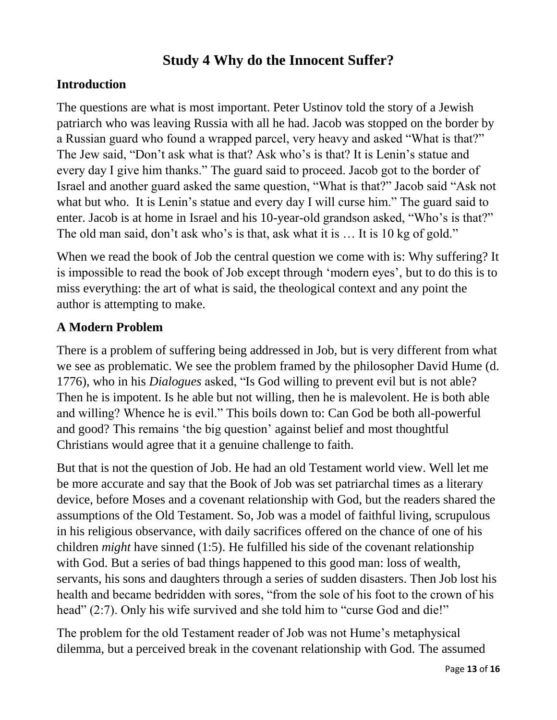## **Study 4 Why do the Innocent Suffer?**

## **Introduction**

The questions are what is most important. Peter Ustinov told the story of a Jewish patriarch who was leaving Russia with all he had. Jacob was stopped on the border by a Russian guard who found a wrapped parcel, very heavy and asked "What is that?" The Jew said, "Don't ask what is that? Ask who's is that? It is Lenin's statue and every day I give him thanks." The guard said to proceed. Jacob got to the border of Israel and another guard asked the same question, "What is that?" Jacob said "Ask not what but who. It is Lenin's statue and every day I will curse him." The guard said to enter. Jacob is at home in Israel and his 10-year-old grandson asked, "Who's is that?" The old man said, don't ask who's is that, ask what it is ... It is 10 kg of gold."

When we read the book of Job the central question we come with is: Why suffering? It is impossible to read the book of Job except through 'modern eyes', but to do this is to miss everything: the art of what is said, the theological context and any point the author is attempting to make.

## **A Modern Problem**

There is a problem of suffering being addressed in Job, but is very different from what we see as problematic. We see the problem framed by the philosopher David Hume (d. 1776), who in his *Dialogues* asked, "Is God willing to prevent evil but is not able? Then he is impotent. Is he able but not willing, then he is malevolent. He is both able and willing? Whence he is evil." This boils down to: Can God be both all-powerful and good? This remains 'the big question' against belief and most thoughtful Christians would agree that it a genuine challenge to faith.

But that is not the question of Job. He had an old Testament world view. Well let me be more accurate and say that the Book of Job was set patriarchal times as a literary device, before Moses and a covenant relationship with God, but the readers shared the assumptions of the Old Testament. So, Job was a model of faithful living, scrupulous in his religious observance, with daily sacrifices offered on the chance of one of his children *might* have sinned (1:5). He fulfilled his side of the covenant relationship with God. But a series of bad things happened to this good man: loss of wealth, servants, his sons and daughters through a series of sudden disasters. Then Job lost his health and became bedridden with sores, "from the sole of his foot to the crown of his head" (2:7). Only his wife survived and she told him to "curse God and die!"

The problem for the old Testament reader of Job was not Hume's metaphysical dilemma, but a perceived break in the covenant relationship with God. The assumed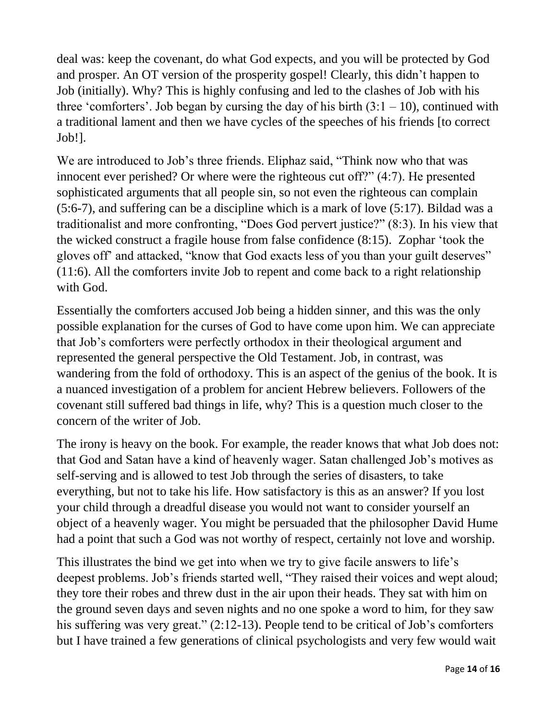deal was: keep the covenant, do what God expects, and you will be protected by God and prosper. An OT version of the prosperity gospel! Clearly, this didn't happen to Job (initially). Why? This is highly confusing and led to the clashes of Job with his three 'comforters'. Job began by cursing the day of his birth  $(3:1 - 10)$ , continued with a traditional lament and then we have cycles of the speeches of his friends [to correct Job!].

We are introduced to Job's three friends. Eliphaz said, "Think now who that was innocent ever perished? Or where were the righteous cut off?" (4:7). He presented sophisticated arguments that all people sin, so not even the righteous can complain (5:6-7), and suffering can be a discipline which is a mark of love (5:17). Bildad was a traditionalist and more confronting, "Does God pervert justice?" (8:3). In his view that the wicked construct a fragile house from false confidence (8:15). Zophar 'took the gloves off' and attacked, "know that God exacts less of you than your guilt deserves" (11:6). All the comforters invite Job to repent and come back to a right relationship with God.

Essentially the comforters accused Job being a hidden sinner, and this was the only possible explanation for the curses of God to have come upon him. We can appreciate that Job's comforters were perfectly orthodox in their theological argument and represented the general perspective the Old Testament. Job, in contrast, was wandering from the fold of orthodoxy. This is an aspect of the genius of the book. It is a nuanced investigation of a problem for ancient Hebrew believers. Followers of the covenant still suffered bad things in life, why? This is a question much closer to the concern of the writer of Job.

The irony is heavy on the book. For example, the reader knows that what Job does not: that God and Satan have a kind of heavenly wager. Satan challenged Job's motives as self-serving and is allowed to test Job through the series of disasters, to take everything, but not to take his life. How satisfactory is this as an answer? If you lost your child through a dreadful disease you would not want to consider yourself an object of a heavenly wager. You might be persuaded that the philosopher David Hume had a point that such a God was not worthy of respect, certainly not love and worship.

This illustrates the bind we get into when we try to give facile answers to life's deepest problems. Job's friends started well, "They raised their voices and wept aloud; they tore their robes and threw dust in the air upon their heads. They sat with him on the ground seven days and seven nights and no one spoke a word to him, for they saw his suffering was very great." (2:12-13). People tend to be critical of Job's comforters but I have trained a few generations of clinical psychologists and very few would wait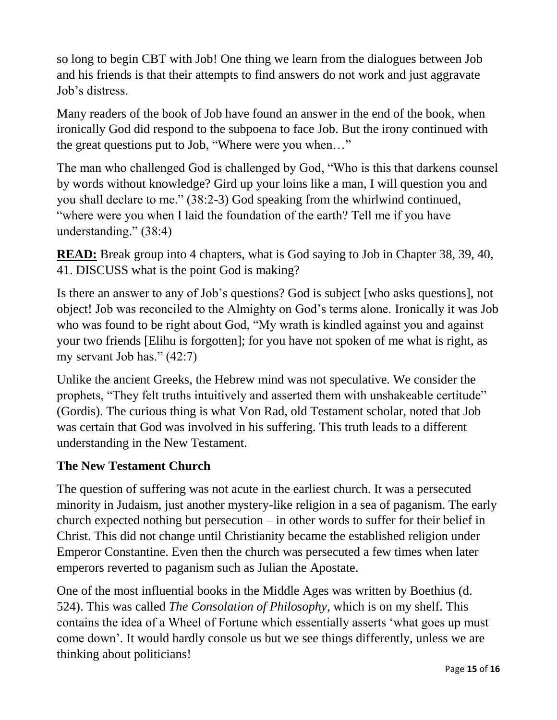so long to begin CBT with Job! One thing we learn from the dialogues between Job and his friends is that their attempts to find answers do not work and just aggravate Job's distress.

Many readers of the book of Job have found an answer in the end of the book, when ironically God did respond to the subpoena to face Job. But the irony continued with the great questions put to Job, "Where were you when…"

The man who challenged God is challenged by God, "Who is this that darkens counsel by words without knowledge? Gird up your loins like a man, I will question you and you shall declare to me." (38:2-3) God speaking from the whirlwind continued, "where were you when I laid the foundation of the earth? Tell me if you have understanding." (38:4)

**READ:** Break group into 4 chapters, what is God saying to Job in Chapter 38, 39, 40, 41. DISCUSS what is the point God is making?

Is there an answer to any of Job's questions? God is subject [who asks questions], not object! Job was reconciled to the Almighty on God's terms alone. Ironically it was Job who was found to be right about God, "My wrath is kindled against you and against your two friends [Elihu is forgotten]; for you have not spoken of me what is right, as my servant Job has." (42:7)

Unlike the ancient Greeks, the Hebrew mind was not speculative. We consider the prophets, "They felt truths intuitively and asserted them with unshakeable certitude" (Gordis). The curious thing is what Von Rad, old Testament scholar, noted that Job was certain that God was involved in his suffering. This truth leads to a different understanding in the New Testament.

#### **The New Testament Church**

The question of suffering was not acute in the earliest church. It was a persecuted minority in Judaism, just another mystery-like religion in a sea of paganism. The early church expected nothing but persecution – in other words to suffer for their belief in Christ. This did not change until Christianity became the established religion under Emperor Constantine. Even then the church was persecuted a few times when later emperors reverted to paganism such as Julian the Apostate.

One of the most influential books in the Middle Ages was written by Boethius (d. 524). This was called *The Consolation of Philosophy*, which is on my shelf. This contains the idea of a Wheel of Fortune which essentially asserts 'what goes up must come down'. It would hardly console us but we see things differently, unless we are thinking about politicians!